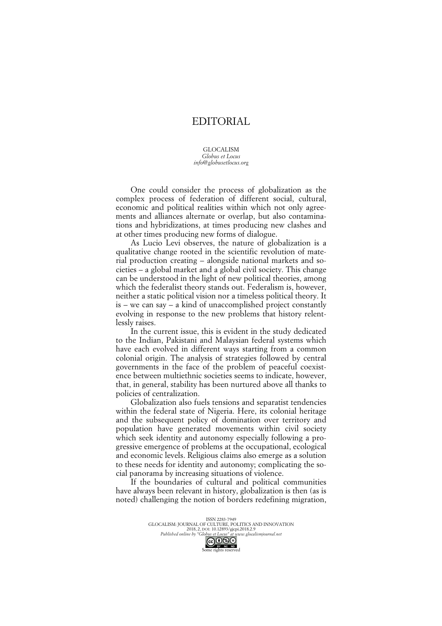## EDITORIAL

## GLOCALISM *Globus et Locus info@globusetlocus.org*

One could consider the process of globalization as the complex process of federation of different social, cultural, economic and political realities within which not only agreements and alliances alternate or overlap, but also contaminations and hybridizations, at times producing new clashes and at other times producing new forms of dialogue.

As Lucio Levi observes, the nature of globalization is a qualitative change rooted in the scientific revolution of material production creating – alongside national markets and societies – a global market and a global civil society. This change can be understood in the light of new political theories, among which the federalist theory stands out. Federalism is, however, neither a static political vision nor a timeless political theory. It is – we can say – a kind of unaccomplished project constantly evolving in response to the new problems that history relentlessly raises.

In the current issue, this is evident in the study dedicated to the Indian, Pakistani and Malaysian federal systems which have each evolved in different ways starting from a common colonial origin. The analysis of strategies followed by central governments in the face of the problem of peaceful coexistence between multiethnic societies seems to indicate, however, that, in general, stability has been nurtured above all thanks to policies of centralization.

Globalization also fuels tensions and separatist tendencies within the federal state of Nigeria. Here, its colonial heritage and the subsequent policy of domination over territory and population have generated movements within civil society which seek identity and autonomy especially following a progressive emergence of problems at the occupational, ecological and economic levels. Religious claims also emerge as a solution to these needs for identity and autonomy; complicating the social panorama by increasing situations of violence.

If the boundaries of cultural and political communities have always been relevant in history, globalization is then (as is noted) challenging the notion of borders redefining migration,